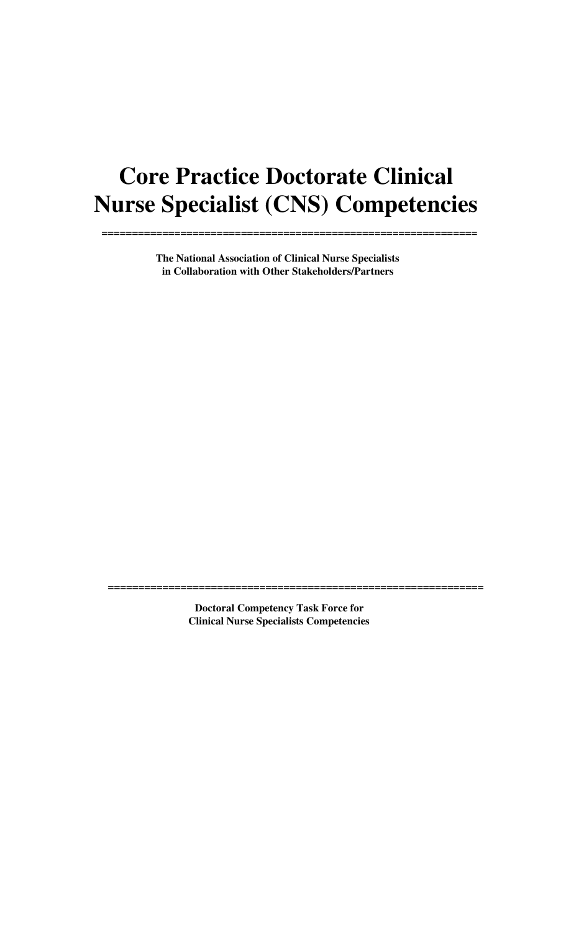# **Core Practice Doctorate Clinical Nurse Specialist (CNS) Competencies**

**==============================================================**

**The National Association of Clinical Nurse Specialists in Collaboration with Other Stakeholders/Partners** 

> **Doctoral Competency Task Force for Clinical Nurse Specialists Competencies**

**==============================================================**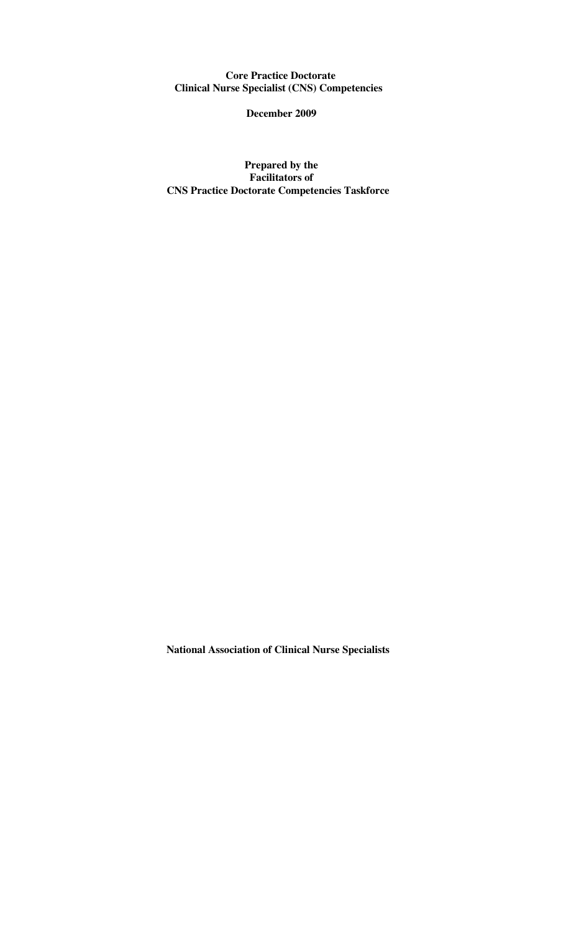**Core Practice Doctorate Clinical Nurse Specialist (CNS) Competencies** 

**December 2009** 

**Prepared by the Facilitators of CNS Practice Doctorate Competencies Taskforce** 

**National Association of Clinical Nurse Specialists**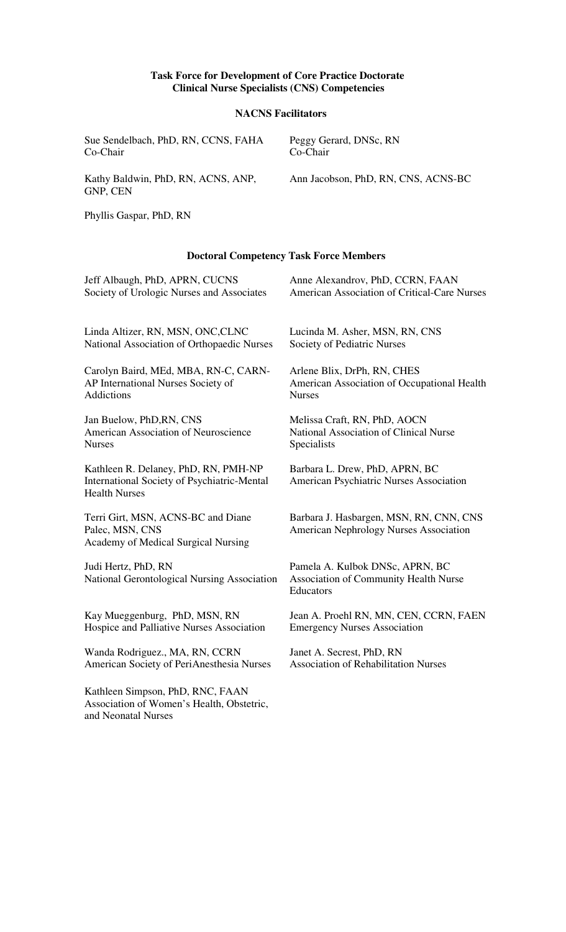#### **Task Force for Development of Core Practice Doctorate Clinical Nurse Specialists (CNS) Competencies**

### **NACNS Facilitators**

| Sue Sendelbach, PhD, RN, CCNS, FAHA            | Peggy Gerard, DNSc, RN              |
|------------------------------------------------|-------------------------------------|
| Co-Chair                                       | Co-Chair                            |
| Kathy Baldwin, PhD, RN, ACNS, ANP,<br>GNP, CEN | Ann Jacobson, PhD, RN, CNS, ACNS-BC |

Phyllis Gaspar, PhD, RN

Association of Women's Health, Obstetric,

and Neonatal Nurses

#### **Doctoral Competency Task Force Members**

| Jeff Albaugh, PhD, APRN, CUCNS                                                                              | Anne Alexandrov, PhD, CCRN, FAAN                                                         |
|-------------------------------------------------------------------------------------------------------------|------------------------------------------------------------------------------------------|
| Society of Urologic Nurses and Associates                                                                   | American Association of Critical-Care Nurses                                             |
| Linda Altizer, RN, MSN, ONC, CLNC                                                                           | Lucinda M. Asher, MSN, RN, CNS                                                           |
| National Association of Orthopaedic Nurses                                                                  | Society of Pediatric Nurses                                                              |
| Carolyn Baird, MEd, MBA, RN-C, CARN-                                                                        | Arlene Blix, DrPh, RN, CHES                                                              |
| AP International Nurses Society of                                                                          | American Association of Occupational Health                                              |
| Addictions                                                                                                  | <b>Nurses</b>                                                                            |
| Jan Buelow, PhD, RN, CNS                                                                                    | Melissa Craft, RN, PhD, AOCN                                                             |
| American Association of Neuroscience                                                                        | National Association of Clinical Nurse                                                   |
| <b>Nurses</b>                                                                                               | Specialists                                                                              |
| Kathleen R. Delaney, PhD, RN, PMH-NP<br>International Society of Psychiatric-Mental<br><b>Health Nurses</b> | Barbara L. Drew, PhD, APRN, BC<br>American Psychiatric Nurses Association                |
| Terri Girt, MSN, ACNS-BC and Diane<br>Palec, MSN, CNS<br>Academy of Medical Surgical Nursing                | Barbara J. Hasbargen, MSN, RN, CNN, CNS<br><b>American Nephrology Nurses Association</b> |
| Judi Hertz, PhD, RN<br>National Gerontological Nursing Association                                          | Pamela A. Kulbok DNSc, APRN, BC<br>Association of Community Health Nurse<br>Educators    |
| Kay Mueggenburg, PhD, MSN, RN                                                                               | Jean A. Proehl RN, MN, CEN, CCRN, FAEN                                                   |
| Hospice and Palliative Nurses Association                                                                   | <b>Emergency Nurses Association</b>                                                      |
| Wanda Rodriguez., MA, RN, CCRN                                                                              | Janet A. Secrest, PhD, RN                                                                |
| American Society of PeriAnesthesia Nurses                                                                   | <b>Association of Rehabilitation Nurses</b>                                              |
| Kathleen Simpson, PhD, RNC, FAAN                                                                            |                                                                                          |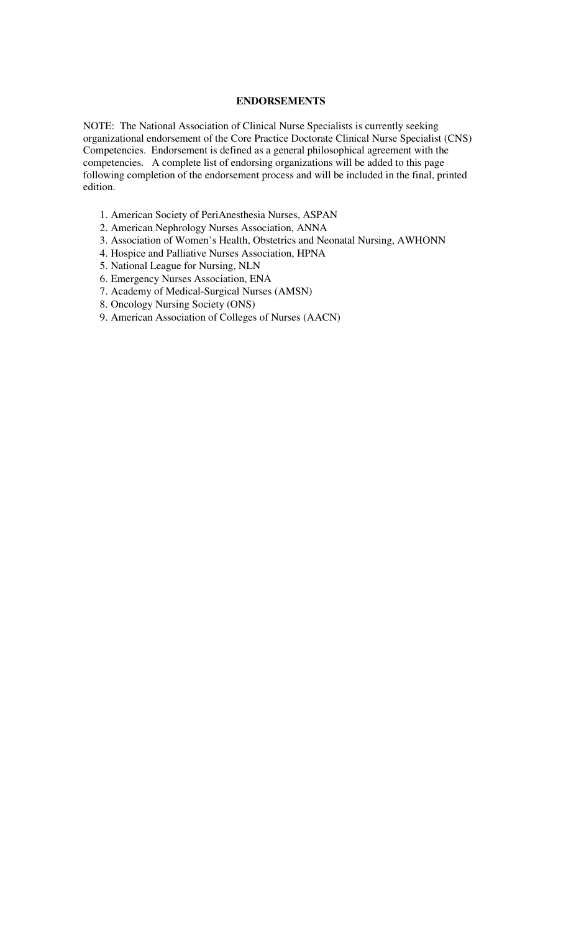#### **ENDORSEMENTS**

NOTE: The National Association of Clinical Nurse Specialists is currently seeking organizational endorsement of the Core Practice Doctorate Clinical Nurse Specialist (CNS) Competencies. Endorsement is defined as a general philosophical agreement with the competencies. A complete list of endorsing organizations will be added to this page following completion of the endorsement process and will be included in the final, printed edition.

- 1. American Society of PeriAnesthesia Nurses, ASPAN
- 2. American Nephrology Nurses Association, ANNA
- 3. Association of Women's Health, Obstetrics and Neonatal Nursing, AWHONN
- 4. Hospice and Palliative Nurses Association, HPNA
- 5. National League for Nursing, NLN
- 6. Emergency Nurses Association, ENA
- 7. Academy of Medical-Surgical Nurses (AMSN)
- 8. Oncology Nursing Society (ONS)
- 9. American Association of Colleges of Nurses (AACN)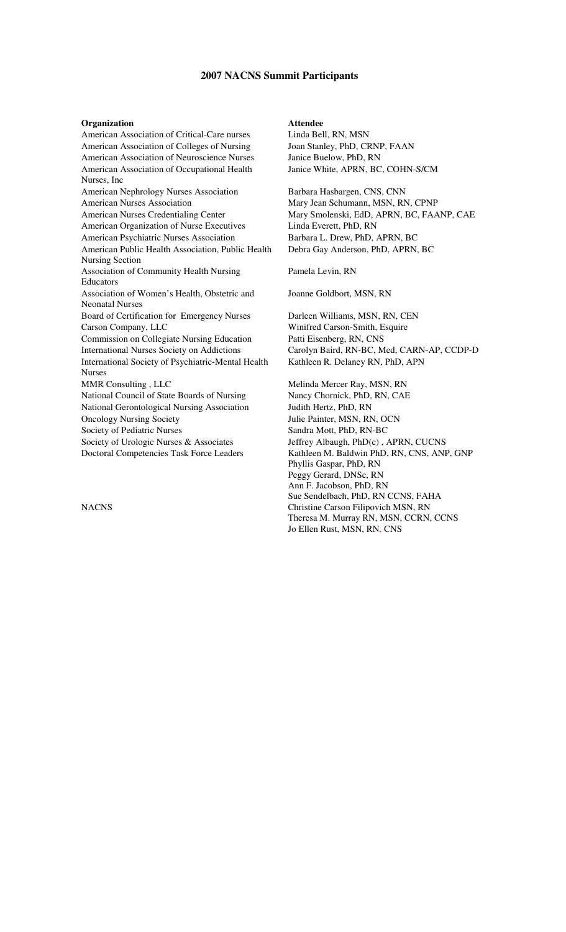#### **2007 NACNS Summit Participants**

**Organization**<br>American Association of Critical-Care nurses Linda Bell, RN, MSN American Association of Critical-Care nurses American Association of Colleges of Nursing Joan Stanley, PhD, CRNP, FAAN American Association of Neuroscience Nurses Janice Buelow, PhD, RN American Association of Occupational Health Nurses, Inc American Nephrology Nurses Association Barbara Hasbargen, CNS, CNN American Nurses Association Mary Jean Schumann, MSN, RN, CPNP American Nurses Credentialing Center Mary Smolenski, EdD, APRN, BC, FAANP, CAE American Organization of Nurse Executives Linda Everett, PhD, RN American Psychiatric Nurses Association Barbara L. Drew, PhD, APRN, BC American Public Health Association, Public Health Nursing Section Association of Community Health Nursing Educators Association of Women's Health, Obstetric and Neonatal Nurses Board of Certification for Emergency Nurses Darleen Williams, MSN, RN, CEN Carson Company, LLC Winifred Carson-Smith, Esquire Commission on Collegiate Nursing Education Patti Eisenberg, RN, CNS International Nurses Society on Addictions Carolyn Baird, RN-BC, Med, CARN-AP, CCDP-D International Society of Psychiatric-Mental Health Nurses MMR Consulting , LLC Melinda Mercer Ray, MSN, RN National Council of State Boards of Nursing Nancy Chornick, PhD, RN, CAE National Gerontological Nursing Association Judith Hertz, PhD, RN Oncology Nursing Society Julie Painter, MSN, RN, OCN Society of Pediatric Nurses Sandra Mott, PhD, RN-BC Society of Urologic Nurses & Associates Jeffrey Albaugh, PhD(c), APRN, CUCNS Doctoral Competencies Task Force Leaders Kathleen M. Baldwin PhD, RN, CNS, ANP, GNP

**NACNS** 

Janice White, APRN, BC, COHN-S/CM

Debra Gay Anderson, PhD, APRN, BC

Pamela Levin, RN

Joanne Goldbort, MSN, RN

Kathleen R. Delaney RN, PhD, APN

Phyllis Gaspar, PhD, RN Peggy Gerard, DNSc, RN Ann F. Jacobson, PhD, RN Sue Sendelbach, PhD, RN CCNS, FAHA Christine Carson Filipovich MSN, RN Theresa M. Murray RN, MSN, CCRN, CCNS Jo Ellen Rust, MSN, RN, CNS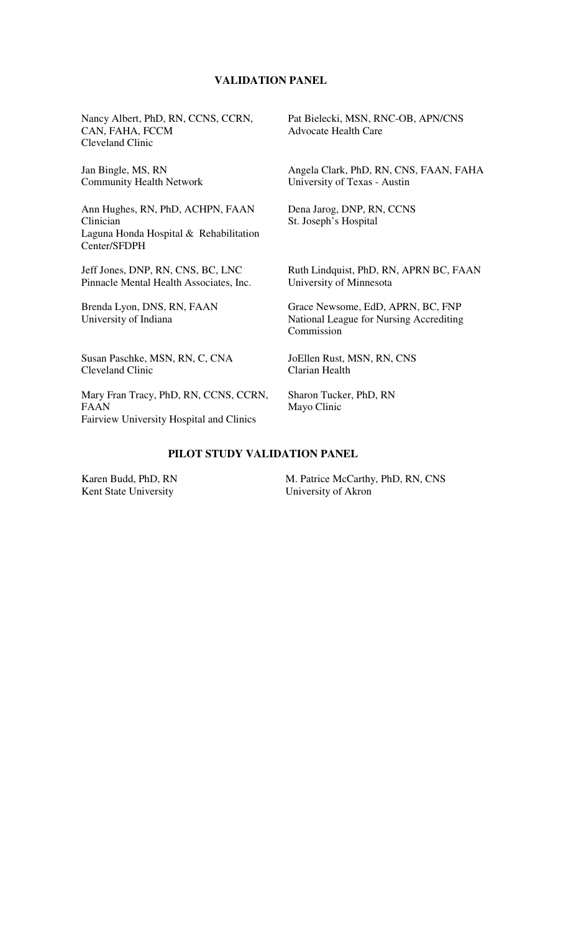## **VALIDATION PANEL**

Nancy Albert, PhD, RN, CCNS, CCRN, CAN, FAHA, FCCM Cleveland Clinic

Jan Bingle, MS, RN Community Health Network

Ann Hughes, RN, PhD, ACHPN, FAAN Clinician Laguna Honda Hospital & Rehabilitation Center/SFDPH

Jeff Jones, DNP, RN, CNS, BC, LNC Pinnacle Mental Health Associates, Inc.

Brenda Lyon, DNS, RN, FAAN University of Indiana

Susan Paschke, MSN, RN, C, CNA Cleveland Clinic

Mary Fran Tracy, PhD, RN, CCNS, CCRN, FAAN Fairview University Hospital and Clinics

Pat Bielecki, MSN, RNC-OB, APN/CNS Advocate Health Care

Angela Clark, PhD, RN, CNS, FAAN, FAHA University of Texas - Austin

Dena Jarog, DNP, RN, CCNS St. Joseph's Hospital

Ruth Lindquist, PhD, RN, APRN BC, FAAN University of Minnesota

Grace Newsome, EdD, APRN, BC, FNP National League for Nursing Accrediting Commission

JoEllen Rust, MSN, RN, CNS Clarian Health

Sharon Tucker, PhD, RN Mayo Clinic

#### **PILOT STUDY VALIDATION PANEL**

 Karen Budd, PhD, RN Kent State University

 M. Patrice McCarthy, PhD, RN, CNS University of Akron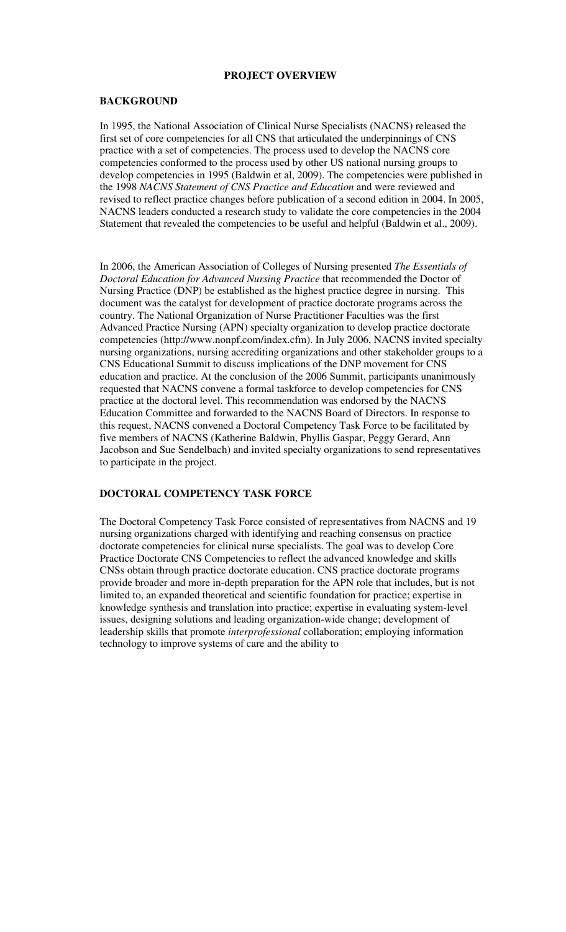#### **PROJECT OVERVIEW**

#### **BACKGROUND**

In 1995, the National Association of Clinical Nurse Specialists (NACNS) released the first set of core competencies for all CNS that articulated the underpinnings of CNS practice with a set of competencies. The process used to develop the NACNS core competencies conformed to the process used by other US national nursing groups to develop competencies in 1995 (Baldwin et al, 2009). The competencies were published in the 1998 *NACNS Statement of CNS Practice and Education* and were reviewed and revised to reflect practice changes before publication of a second edition in 2004. In 2005, NACNS leaders conducted a research study to validate the core competencies in the 2004 Statement that revealed the competencies to be useful and helpful (Baldwin et al., 2009).

In 2006, the American Association of Colleges of Nursing presented *The Essentials of Doctoral Education for Advanced Nursing Practice* that recommended the Doctor of Nursing Practice (DNP) be established as the highest practice degree in nursing. This document was the catalyst for development of practice doctorate programs across the country. The National Organization of Nurse Practitioner Faculties was the first Advanced Practice Nursing (APN) specialty organization to develop practice doctorate competencies (http://www.nonpf.com/index.cfm). In July 2006, NACNS invited specialty nursing organizations, nursing accrediting organizations and other stakeholder groups to a CNS Educational Summit to discuss implications of the DNP movement for CNS education and practice. At the conclusion of the 2006 Summit, participants unanimously requested that NACNS convene a formal taskforce to develop competencies for CNS practice at the doctoral level. This recommendation was endorsed by the NACNS Education Committee and forwarded to the NACNS Board of Directors. In response to this request, NACNS convened a Doctoral Competency Task Force to be facilitated by five members of NACNS (Katherine Baldwin, Phyllis Gaspar, Peggy Gerard, Ann Jacobson and Sue Sendelbach) and invited specialty organizations to send representatives to participate in the project.

#### **DOCTORAL COMPETENCY TASK FORCE**

The Doctoral Competency Task Force consisted of representatives from NACNS and 19 nursing organizations charged with identifying and reaching consensus on practice doctorate competencies for clinical nurse specialists. The goal was to develop Core Practice Doctorate CNS Competencies to reflect the advanced knowledge and skills CNSs obtain through practice doctorate education. CNS practice doctorate programs provide broader and more in-depth preparation for the APN role that includes, but is not limited to, an expanded theoretical and scientific foundation for practice; expertise in knowledge synthesis and translation into practice; expertise in evaluating system-level issues, designing solutions and leading organization-wide change; development of leadership skills that promote *interprofessional* collaboration; employing information technology to improve systems of care and the ability to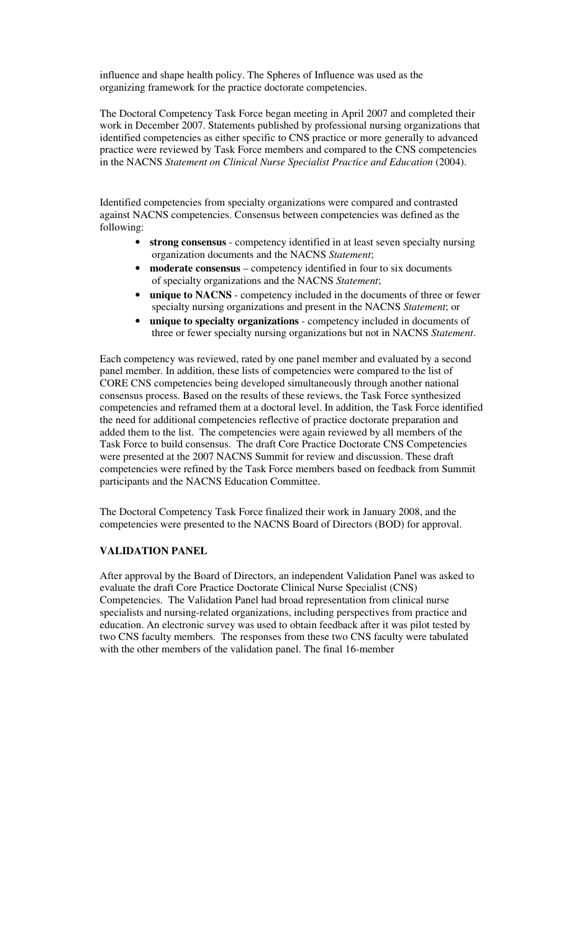influence and shape health policy. The Spheres of Influence was used as the organizing framework for the practice doctorate competencies.

The Doctoral Competency Task Force began meeting in April 2007 and completed their work in December 2007. Statements published by professional nursing organizations that identified competencies as either specific to CNS practice or more generally to advanced practice were reviewed by Task Force members and compared to the CNS competencies in the NACNS *Statement on Clinical Nurse Specialist Practice and Education* (2004).

Identified competencies from specialty organizations were compared and contrasted against NACNS competencies. Consensus between competencies was defined as the following:

- **strong consensus** competency identified in at least seven specialty nursing organization documents and the NACNS *Statement*;
- **moderate consensus** competency identified in four to six documents of specialty organizations and the NACNS *Statement*;
- **unique to NACNS** competency included in the documents of three or fewer specialty nursing organizations and present in the NACNS *Statement*; or
- **unique to specialty organizations** competency included in documents of three or fewer specialty nursing organizations but not in NACNS *Statement*.

Each competency was reviewed, rated by one panel member and evaluated by a second panel member. In addition, these lists of competencies were compared to the list of CORE CNS competencies being developed simultaneously through another national consensus process. Based on the results of these reviews, the Task Force synthesized competencies and reframed them at a doctoral level. In addition, the Task Force identified the need for additional competencies reflective of practice doctorate preparation and added them to the list. The competencies were again reviewed by all members of the Task Force to build consensus. The draft Core Practice Doctorate CNS Competencies were presented at the 2007 NACNS Summit for review and discussion. These draft competencies were refined by the Task Force members based on feedback from Summit participants and the NACNS Education Committee.

The Doctoral Competency Task Force finalized their work in January 2008, and the competencies were presented to the NACNS Board of Directors (BOD) for approval.

#### **VALIDATION PANEL**

After approval by the Board of Directors, an independent Validation Panel was asked to evaluate the draft Core Practice Doctorate Clinical Nurse Specialist (CNS) Competencies. The Validation Panel had broad representation from clinical nurse specialists and nursing-related organizations, including perspectives from practice and education. An electronic survey was used to obtain feedback after it was pilot tested by two CNS faculty members. The responses from these two CNS faculty were tabulated with the other members of the validation panel. The final 16-member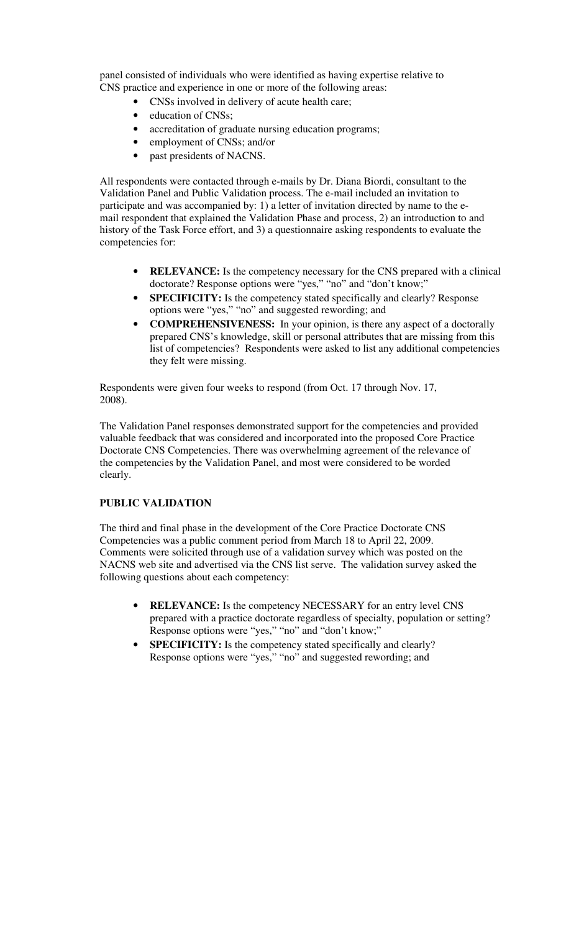panel consisted of individuals who were identified as having expertise relative to CNS practice and experience in one or more of the following areas:

- CNSs involved in delivery of acute health care;
- education of CNSs;
- accreditation of graduate nursing education programs;
- employment of CNSs; and/or
- past presidents of NACNS.

All respondents were contacted through e-mails by Dr. Diana Biordi, consultant to the Validation Panel and Public Validation process. The e-mail included an invitation to participate and was accompanied by: 1) a letter of invitation directed by name to the email respondent that explained the Validation Phase and process, 2) an introduction to and history of the Task Force effort, and 3) a questionnaire asking respondents to evaluate the competencies for:

- **RELEVANCE:** Is the competency necessary for the CNS prepared with a clinical doctorate? Response options were "yes," "no" and "don't know;"
- **SPECIFICITY:** Is the competency stated specifically and clearly? Response options were "yes," "no" and suggested rewording; and
- **COMPREHENSIVENESS:** In your opinion, is there any aspect of a doctorally prepared CNS's knowledge, skill or personal attributes that are missing from this list of competencies? Respondents were asked to list any additional competencies they felt were missing.

Respondents were given four weeks to respond (from Oct. 17 through Nov. 17, 2008).

The Validation Panel responses demonstrated support for the competencies and provided valuable feedback that was considered and incorporated into the proposed Core Practice Doctorate CNS Competencies. There was overwhelming agreement of the relevance of the competencies by the Validation Panel, and most were considered to be worded clearly.

### **PUBLIC VALIDATION**

The third and final phase in the development of the Core Practice Doctorate CNS Competencies was a public comment period from March 18 to April 22, 2009. Comments were solicited through use of a validation survey which was posted on the NACNS web site and advertised via the CNS list serve. The validation survey asked the following questions about each competency:

- **RELEVANCE:** Is the competency NECESSARY for an entry level CNS prepared with a practice doctorate regardless of specialty, population or setting? Response options were "yes," "no" and "don't know;"
- **SPECIFICITY:** Is the competency stated specifically and clearly? Response options were "yes," "no" and suggested rewording; and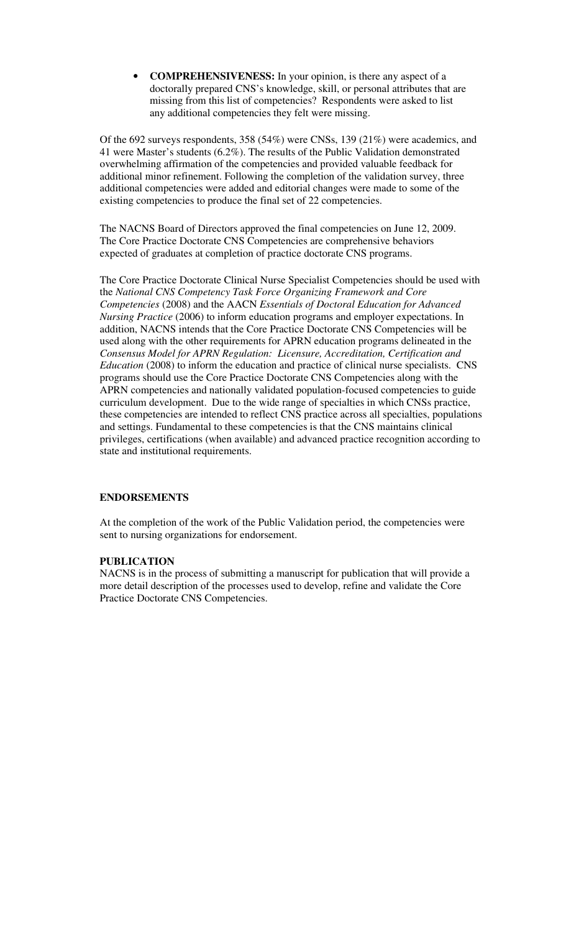• **COMPREHENSIVENESS:** In your opinion, is there any aspect of a doctorally prepared CNS's knowledge, skill, or personal attributes that are missing from this list of competencies? Respondents were asked to list any additional competencies they felt were missing.

Of the 692 surveys respondents, 358 (54%) were CNSs, 139 (21%) were academics, and 41 were Master's students (6.2%). The results of the Public Validation demonstrated overwhelming affirmation of the competencies and provided valuable feedback for additional minor refinement. Following the completion of the validation survey, three additional competencies were added and editorial changes were made to some of the existing competencies to produce the final set of 22 competencies.

The NACNS Board of Directors approved the final competencies on June 12, 2009. The Core Practice Doctorate CNS Competencies are comprehensive behaviors expected of graduates at completion of practice doctorate CNS programs.

The Core Practice Doctorate Clinical Nurse Specialist Competencies should be used with the *National CNS Competency Task Force Organizing Framework and Core Competencies* (2008) and the AACN *Essentials of Doctoral Education for Advanced Nursing Practice* (2006) to inform education programs and employer expectations. In addition, NACNS intends that the Core Practice Doctorate CNS Competencies will be used along with the other requirements for APRN education programs delineated in the *Consensus Model for APRN Regulation: Licensure, Accreditation, Certification and Education* (2008) to inform the education and practice of clinical nurse specialists. CNS programs should use the Core Practice Doctorate CNS Competencies along with the APRN competencies and nationally validated population-focused competencies to guide curriculum development. Due to the wide range of specialties in which CNSs practice, these competencies are intended to reflect CNS practice across all specialties, populations and settings. Fundamental to these competencies is that the CNS maintains clinical privileges, certifications (when available) and advanced practice recognition according to state and institutional requirements.

#### **ENDORSEMENTS**

At the completion of the work of the Public Validation period, the competencies were sent to nursing organizations for endorsement.

#### **PUBLICATION**

NACNS is in the process of submitting a manuscript for publication that will provide a more detail description of the processes used to develop, refine and validate the Core Practice Doctorate CNS Competencies.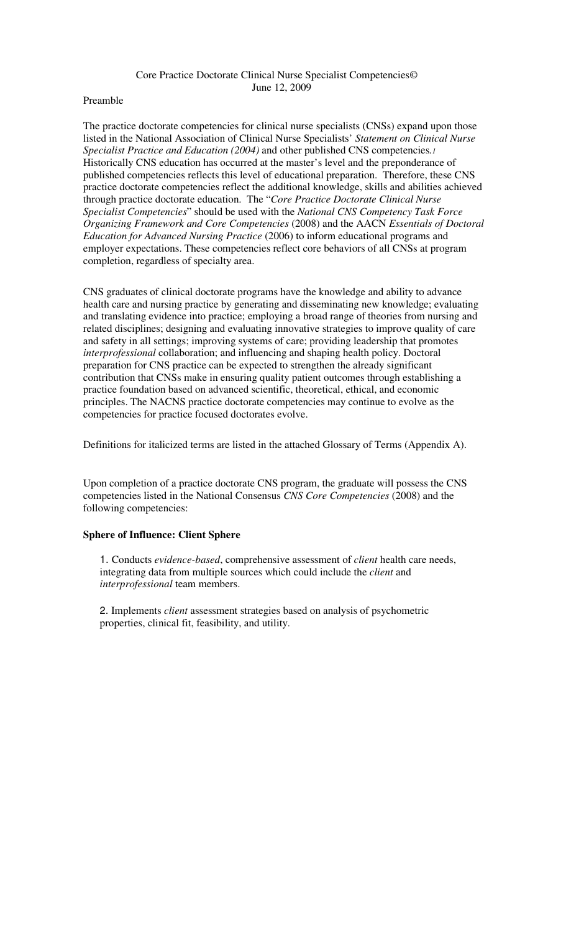#### Core Practice Doctorate Clinical Nurse Specialist Competencies© June 12, 2009

#### Preamble

The practice doctorate competencies for clinical nurse specialists (CNSs) expand upon those listed in the National Association of Clinical Nurse Specialists' *Statement on Clinical Nurse Specialist Practice and Education (2004)* and other published CNS competencies*.<sup>1</sup>* Historically CNS education has occurred at the master's level and the preponderance of published competencies reflects this level of educational preparation. Therefore, these CNS practice doctorate competencies reflect the additional knowledge, skills and abilities achieved through practice doctorate education. The "*Core Practice Doctorate Clinical Nurse Specialist Competencies*" should be used with the *National CNS Competency Task Force Organizing Framework and Core Competencies* (2008) and the AACN *Essentials of Doctoral Education for Advanced Nursing Practice* (2006) to inform educational programs and employer expectations. These competencies reflect core behaviors of all CNSs at program completion, regardless of specialty area.

CNS graduates of clinical doctorate programs have the knowledge and ability to advance health care and nursing practice by generating and disseminating new knowledge; evaluating and translating evidence into practice; employing a broad range of theories from nursing and related disciplines; designing and evaluating innovative strategies to improve quality of care and safety in all settings; improving systems of care; providing leadership that promotes *interprofessional* collaboration; and influencing and shaping health policy. Doctoral preparation for CNS practice can be expected to strengthen the already significant contribution that CNSs make in ensuring quality patient outcomes through establishing a practice foundation based on advanced scientific, theoretical, ethical, and economic principles. The NACNS practice doctorate competencies may continue to evolve as the competencies for practice focused doctorates evolve.

Definitions for italicized terms are listed in the attached Glossary of Terms (Appendix A).

Upon completion of a practice doctorate CNS program, the graduate will possess the CNS competencies listed in the National Consensus *CNS Core Competencies* (2008) and the following competencies:

#### **Sphere of Influence: Client Sphere**

1. Conducts *evidence-based*, comprehensive assessment of *client* health care needs, integrating data from multiple sources which could include the *client* and *interprofessional* team members.

2. Implements *client* assessment strategies based on analysis of psychometric properties, clinical fit, feasibility, and utility.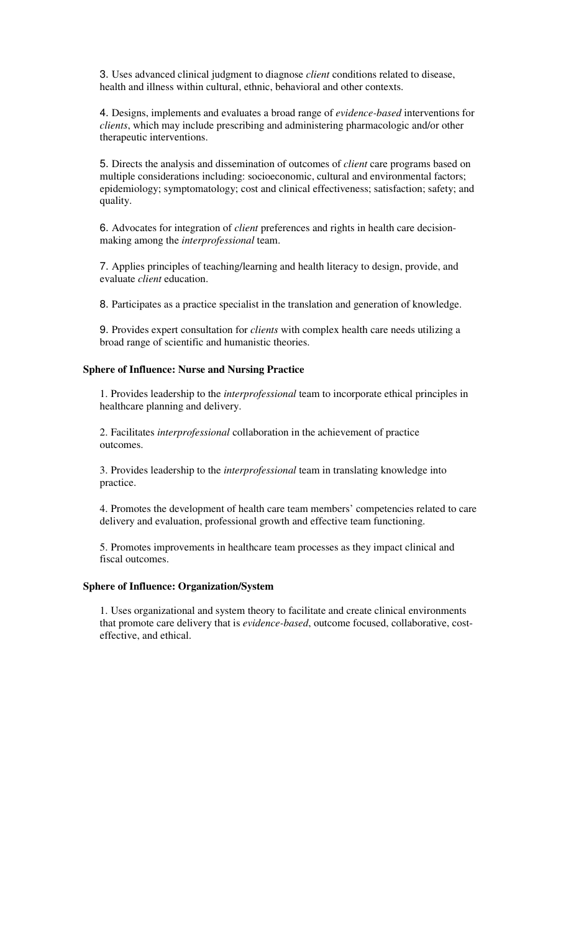3. Uses advanced clinical judgment to diagnose *client* conditions related to disease, health and illness within cultural, ethnic, behavioral and other contexts.

4. Designs, implements and evaluates a broad range of *evidence-based* interventions for *clients*, which may include prescribing and administering pharmacologic and/or other therapeutic interventions.

5. Directs the analysis and dissemination of outcomes of *client* care programs based on multiple considerations including: socioeconomic, cultural and environmental factors; epidemiology; symptomatology; cost and clinical effectiveness; satisfaction; safety; and quality.

6. Advocates for integration of *client* preferences and rights in health care decisionmaking among the *interprofessional* team.

7. Applies principles of teaching/learning and health literacy to design, provide, and evaluate *client* education.

8. Participates as a practice specialist in the translation and generation of knowledge.

9. Provides expert consultation for *clients* with complex health care needs utilizing a broad range of scientific and humanistic theories.

#### **Sphere of Influence: Nurse and Nursing Practice**

 1. Provides leadership to the *interprofessional* team to incorporate ethical principles in healthcare planning and delivery.

 2. Facilitates *interprofessional* collaboration in the achievement of practice outcomes.

 3. Provides leadership to the *interprofessional* team in translating knowledge into practice.

 4. Promotes the development of health care team members' competencies related to care delivery and evaluation, professional growth and effective team functioning.

 5. Promotes improvements in healthcare team processes as they impact clinical and fiscal outcomes.

#### **Sphere of Influence: Organization/System**

 1. Uses organizational and system theory to facilitate and create clinical environments that promote care delivery that is *evidence-based*, outcome focused, collaborative, costeffective, and ethical.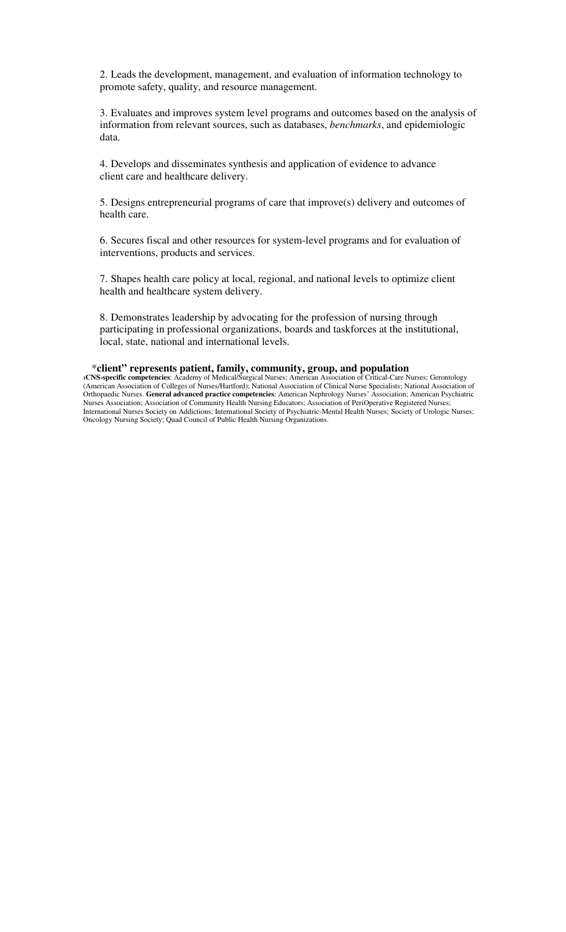2. Leads the development, management, and evaluation of information technology to promote safety, quality, and resource management.

 3. Evaluates and improves system level programs and outcomes based on the analysis of information from relevant sources, such as databases, *benchmarks*, and epidemiologic data.

 4. Develops and disseminates synthesis and application of evidence to advance client care and healthcare delivery.

 5. Designs entrepreneurial programs of care that improve(s) delivery and outcomes of health care.

 6. Secures fiscal and other resources for system-level programs and for evaluation of interventions, products and services.

 7. Shapes health care policy at local, regional, and national levels to optimize client health and healthcare system delivery.

 8. Demonstrates leadership by advocating for the profession of nursing through participating in professional organizations, boards and taskforces at the institutional, local, state, national and international levels.

#### \***client" represents patient, family, community, group, and population**

**<sup>1</sup>CNS-specific competencies**: Academy of Medical/Surgical Nurses; American Association of Critical-Care Nurses; Gerontology (American Association of Colleges of Nurses/Hartford); National Association of Clinical Nurse Specialists; National Association of Orthopaedic Nurses. **General advanced practice competencies**: American Nephrology Nurses' Association; American Psychiatric Nurses Association; Association of Community Health Nursing Educators; Association of PeriOperative Registered Nurses; International Nurses Society on Addictions; International Society of Psychiatric-Mental Health Nurses; Society of Urologic Nurses; Oncology Nursing Society; Quad Council of Public Health Nursing Organizations.